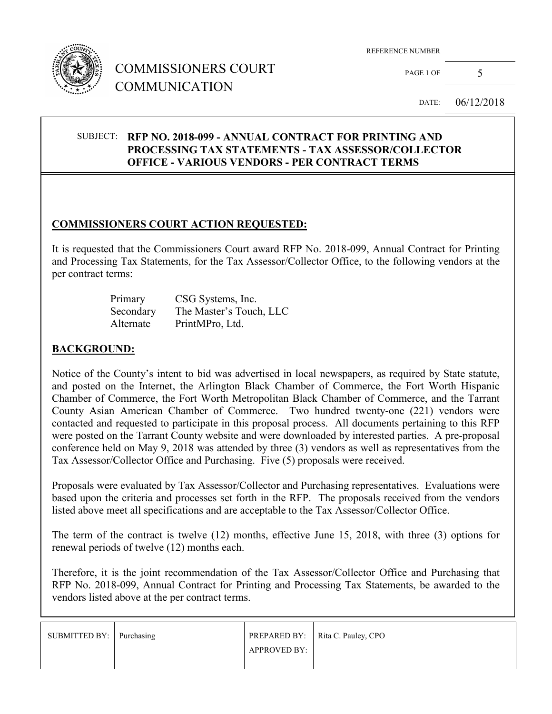

# COMMISSIONERS COURT COMMUNICATION

REFERENCE NUMBER

PAGE 1 OF  $5$ 

DATE: 06/12/2018

#### SUBJECT: **RFP NO. 2018-099 - ANNUAL CONTRACT FOR PRINTING AND PROCESSING TAX STATEMENTS - TAX ASSESSOR/COLLECTOR OFFICE - VARIOUS VENDORS - PER CONTRACT TERMS**

## **COMMISSIONERS COURT ACTION REQUESTED:**

It is requested that the Commissioners Court award RFP No. 2018-099, Annual Contract for Printing and Processing Tax Statements, for the Tax Assessor/Collector Office, to the following vendors at the per contract terms:

| Primary   | CSG Systems, Inc.       |
|-----------|-------------------------|
| Secondary | The Master's Touch, LLC |
| Alternate | PrintMPro, Ltd.         |

#### **BACKGROUND:**

Notice of the County's intent to bid was advertised in local newspapers, as required by State statute, and posted on the Internet, the Arlington Black Chamber of Commerce, the Fort Worth Hispanic Chamber of Commerce, the Fort Worth Metropolitan Black Chamber of Commerce, and the Tarrant County Asian American Chamber of Commerce. Two hundred twenty-one (221) vendors were contacted and requested to participate in this proposal process. All documents pertaining to this RFP were posted on the Tarrant County website and were downloaded by interested parties. A pre-proposal conference held on May 9, 2018 was attended by three (3) vendors as well as representatives from the Tax Assessor/Collector Office and Purchasing. Five (5) proposals were received.

Proposals were evaluated by Tax Assessor/Collector and Purchasing representatives. Evaluations were based upon the criteria and processes set forth in the RFP. The proposals received from the vendors listed above meet all specifications and are acceptable to the Tax Assessor/Collector Office.

The term of the contract is twelve (12) months, effective June 15, 2018, with three (3) options for renewal periods of twelve (12) months each.

Therefore, it is the joint recommendation of the Tax Assessor/Collector Office and Purchasing that RFP No. 2018-099, Annual Contract for Printing and Processing Tax Statements, be awarded to the vendors listed above at the per contract terms.

| SUBMITTED BY: Purchasing |                     | PREPARED BY:   Rita C. Pauley, CPO |
|--------------------------|---------------------|------------------------------------|
|                          | <b>APPROVED BY:</b> |                                    |